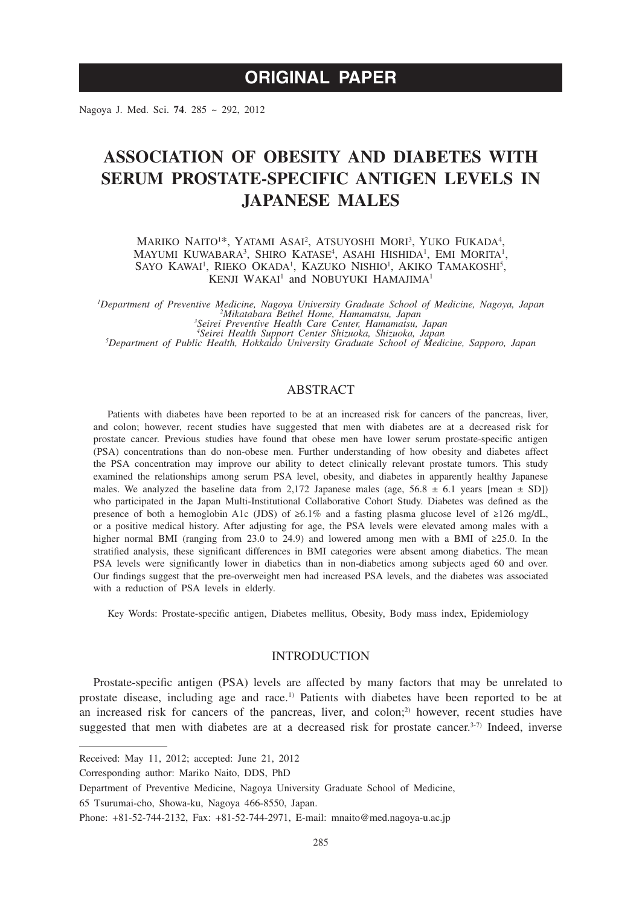# **ORIGINAL PAPER**

Nagoya J. Med. Sci. **74**. 285 ~ 292, 2012

# **ASSOCIATION OF OBESITY AND DIABETES WITH SERUM PROSTATE-SPECIFIC ANTIGEN LEVELS IN JAPANESE MALES**

MARIKO NAITO<sup>1\*</sup>, YATAMI ASAI<sup>2</sup>, ATSUYOSHI MORI<sup>3</sup>, YUKO FUKADA<sup>4</sup>, MAYUMI KUWABARA<sup>3</sup>, SHIRO KATASE<sup>4</sup>, ASAHI HISHIDA<sup>1</sup>, EMI MORITA<sup>1</sup>, SAYO KAWAI<sup>1</sup>, RIEKO OKADA<sup>1</sup>, KAZUKO NISHIO<sup>1</sup>, AKIKO TAMAKOSHI<sup>5</sup>, KENJI WAKAI<sup>1</sup> and NOBUYUKI HAMAJIMA<sup>1</sup>

Department of Preventive Medicine, Nagoya University Graduate School of Medicine, Nagoya, Japan<sup>2</sup> Mikatabara Bethel Home, Hamamatsu, Japan<br><sup>2</sup> Mikatabara Bethel Home, Hamamatsu, Japan<sup>3</sup> Seirei Preventive Health Care Cent

### ABSTRACT

Patients with diabetes have been reported to be at an increased risk for cancers of the pancreas, liver, and colon; however, recent studies have suggested that men with diabetes are at a decreased risk for prostate cancer. Previous studies have found that obese men have lower serum prostate-specific antigen (PSA) concentrations than do non-obese men. Further understanding of how obesity and diabetes affect the PSA concentration may improve our ability to detect clinically relevant prostate tumors. This study examined the relationships among serum PSA level, obesity, and diabetes in apparently healthy Japanese males. We analyzed the baseline data from 2,172 Japanese males (age,  $56.8 \pm 6.1$  years [mean  $\pm$  SD]) who participated in the Japan Multi-Institutional Collaborative Cohort Study. Diabetes was defined as the presence of both a hemoglobin A1c (JDS) of ≥6.1% and a fasting plasma glucose level of ≥126 mg/dL, or a positive medical history. After adjusting for age, the PSA levels were elevated among males with a higher normal BMI (ranging from 23.0 to 24.9) and lowered among men with a BMI of ≥25.0. In the stratified analysis, these significant differences in BMI categories were absent among diabetics. The mean PSA levels were significantly lower in diabetics than in non-diabetics among subjects aged 60 and over. Our findings suggest that the pre-overweight men had increased PSA levels, and the diabetes was associated with a reduction of PSA levels in elderly.

Key Words: Prostate-specific antigen, Diabetes mellitus, Obesity, Body mass index, Epidemiology

## **INTRODUCTION**

Prostate-specific antigen (PSA) levels are affected by many factors that may be unrelated to prostate disease, including age and race.1) Patients with diabetes have been reported to be at an increased risk for cancers of the pancreas, liver, and colon;<sup>2)</sup> however, recent studies have suggested that men with diabetes are at a decreased risk for prostate cancer.<sup>3-7)</sup> Indeed, inverse

Received: May 11, 2012; accepted: June 21, 2012

Corresponding author: Mariko Naito, DDS, PhD

Department of Preventive Medicine, Nagoya University Graduate School of Medicine,

<sup>65</sup> Tsurumai-cho, Showa-ku, Nagoya 466-8550, Japan.

Phone: +81-52-744-2132, Fax: +81-52-744-2971, E-mail: mnaito@med.nagoya-u.ac.jp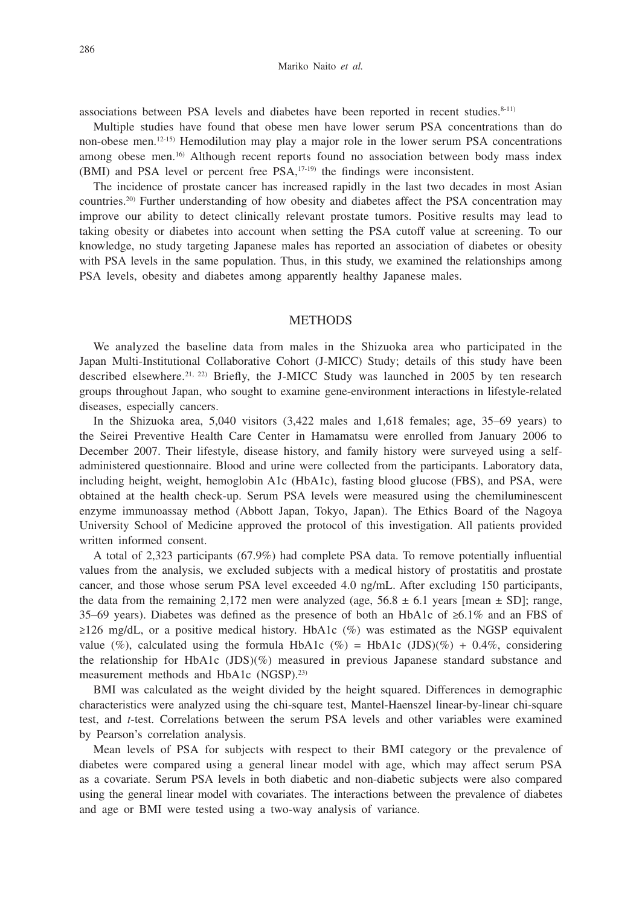associations between PSA levels and diabetes have been reported in recent studies. $8-11$ )

Multiple studies have found that obese men have lower serum PSA concentrations than do non-obese men.12-15) Hemodilution may play a major role in the lower serum PSA concentrations among obese men.16) Although recent reports found no association between body mass index (BMI) and PSA level or percent free PSA,17-19) the findings were inconsistent.

The incidence of prostate cancer has increased rapidly in the last two decades in most Asian countries.20) Further understanding of how obesity and diabetes affect the PSA concentration may improve our ability to detect clinically relevant prostate tumors. Positive results may lead to taking obesity or diabetes into account when setting the PSA cutoff value at screening. To our knowledge, no study targeting Japanese males has reported an association of diabetes or obesity with PSA levels in the same population. Thus, in this study, we examined the relationships among PSA levels, obesity and diabetes among apparently healthy Japanese males.

# **METHODS**

We analyzed the baseline data from males in the Shizuoka area who participated in the Japan Multi-Institutional Collaborative Cohort (J-MICC) Study; details of this study have been described elsewhere.<sup>21, 22)</sup> Briefly, the J-MICC Study was launched in 2005 by ten research groups throughout Japan, who sought to examine gene-environment interactions in lifestyle-related diseases, especially cancers.

In the Shizuoka area, 5,040 visitors (3,422 males and 1,618 females; age, 35–69 years) to the Seirei Preventive Health Care Center in Hamamatsu were enrolled from January 2006 to December 2007. Their lifestyle, disease history, and family history were surveyed using a selfadministered questionnaire. Blood and urine were collected from the participants. Laboratory data, including height, weight, hemoglobin A1c (HbA1c), fasting blood glucose (FBS), and PSA, were obtained at the health check-up. Serum PSA levels were measured using the chemiluminescent enzyme immunoassay method (Abbott Japan, Tokyo, Japan). The Ethics Board of the Nagoya University School of Medicine approved the protocol of this investigation. All patients provided written informed consent.

A total of 2,323 participants (67.9%) had complete PSA data. To remove potentially influential values from the analysis, we excluded subjects with a medical history of prostatitis and prostate cancer, and those whose serum PSA level exceeded 4.0 ng/mL. After excluding 150 participants, the data from the remaining 2,172 men were analyzed (age,  $56.8 \pm 6.1$  years [mean  $\pm$  SD]; range, 35–69 years). Diabetes was defined as the presence of both an HbA1c of ≥6.1% and an FBS of  $\geq$ 126 mg/dL, or a positive medical history. HbA1c (%) was estimated as the NGSP equivalent value (%), calculated using the formula HbA1c (%) = HbA1c (JDS)(%) + 0.4%, considering the relationship for HbA1c (JDS)(%) measured in previous Japanese standard substance and measurement methods and HbA1c (NGSP).<sup>23)</sup>

BMI was calculated as the weight divided by the height squared. Differences in demographic characteristics were analyzed using the chi-square test, Mantel-Haenszel linear-by-linear chi-square test, and *t*-test. Correlations between the serum PSA levels and other variables were examined by Pearson's correlation analysis.

Mean levels of PSA for subjects with respect to their BMI category or the prevalence of diabetes were compared using a general linear model with age, which may affect serum PSA as a covariate. Serum PSA levels in both diabetic and non-diabetic subjects were also compared using the general linear model with covariates. The interactions between the prevalence of diabetes and age or BMI were tested using a two-way analysis of variance.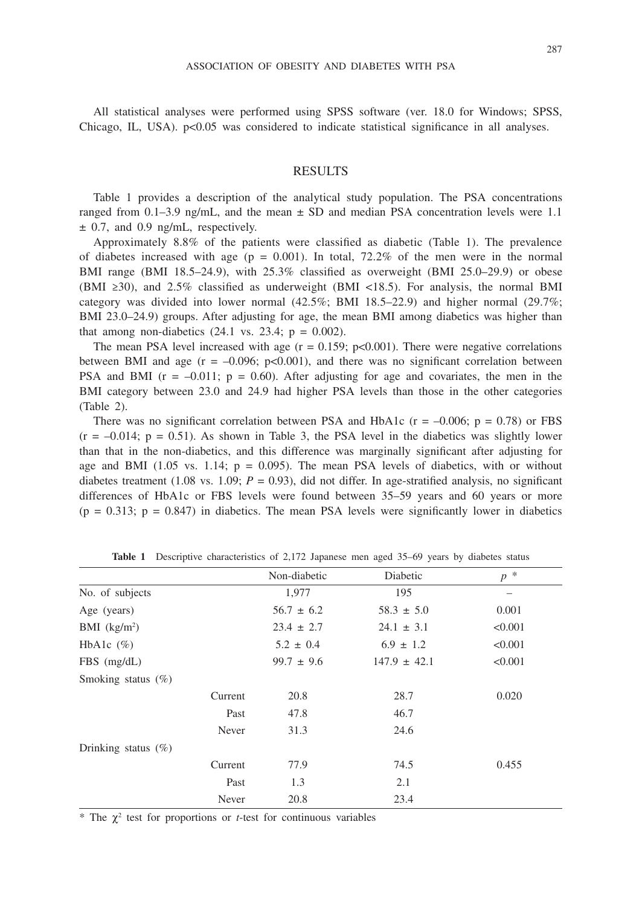All statistical analyses were performed using SPSS software (ver. 18.0 for Windows; SPSS, Chicago, IL, USA).  $p<0.05$  was considered to indicate statistical significance in all analyses.

## RESULTS

Table 1 provides a description of the analytical study population. The PSA concentrations ranged from  $0.1-3.9$  ng/mL, and the mean  $\pm$  SD and median PSA concentration levels were 1.1  $\pm$  0.7, and 0.9 ng/mL, respectively.

Approximately 8.8% of the patients were classified as diabetic (Table 1). The prevalence of diabetes increased with age ( $p = 0.001$ ). In total, 72.2% of the men were in the normal BMI range (BMI 18.5–24.9), with 25.3% classified as overweight (BMI 25.0–29.9) or obese (BMI ≥30), and 2.5% classified as underweight (BMI <18.5). For analysis, the normal BMI category was divided into lower normal (42.5%; BMI 18.5–22.9) and higher normal (29.7%; BMI 23.0–24.9) groups. After adjusting for age, the mean BMI among diabetics was higher than that among non-diabetics  $(24.1 \text{ vs. } 23.4; \text{ p} = 0.002)$ .

The mean PSA level increased with age  $(r = 0.159; p<0.001)$ . There were negative correlations between BMI and age  $(r = -0.096; p < 0.001)$ , and there was no significant correlation between PSA and BMI ( $r = -0.011$ ;  $p = 0.60$ ). After adjusting for age and covariates, the men in the BMI category between 23.0 and 24.9 had higher PSA levels than those in the other categories (Table 2).

There was no significant correlation between PSA and HbA1c ( $r = -0.006$ ;  $p = 0.78$ ) or FBS  $(r = -0.014; p = 0.51)$ . As shown in Table 3, the PSA level in the diabetics was slightly lower than that in the non-diabetics, and this difference was marginally significant after adjusting for age and BMI (1.05 vs. 1.14;  $p = 0.095$ ). The mean PSA levels of diabetics, with or without diabetes treatment (1.08 vs. 1.09;  $P = 0.93$ ), did not differ. In age-stratified analysis, no significant differences of HbA1c or FBS levels were found between 35–59 years and 60 years or more  $(p = 0.313; p = 0.847)$  in diabetics. The mean PSA levels were significantly lower in diabetics

|                         |         | Non-diabetic   | Diabetic         | $p^*$   |
|-------------------------|---------|----------------|------------------|---------|
| No. of subjects         |         | 1,977          | 195              |         |
| Age (years)             |         | $56.7 \pm 6.2$ | $58.3 \pm 5.0$   | 0.001   |
| BMI $(kg/m2)$           |         | $23.4 \pm 2.7$ | $24.1 \pm 3.1$   | < 0.001 |
| HbAlc $(\%)$            |         | $5.2 \pm 0.4$  | $6.9 \pm 1.2$    | < 0.001 |
| $FBS$ (mg/dL)           |         | $99.7 \pm 9.6$ | $147.9 \pm 42.1$ | < 0.001 |
| Smoking status (%)      |         |                |                  |         |
|                         | Current | 20.8           | 28.7             | 0.020   |
|                         | Past    | 47.8           | 46.7             |         |
|                         | Never   | 31.3           | 24.6             |         |
| Drinking status $(\% )$ |         |                |                  |         |
|                         | Current | 77.9           | 74.5             | 0.455   |
|                         | Past    | 1.3            | 2.1              |         |
|                         | Never   | 20.8           | 23.4             |         |

**Table 1** Descriptive characteristics of 2,172 Japanese men aged 35–69 years by diabetes status

 $*$  The  $\chi^2$  test for proportions or *t*-test for continuous variables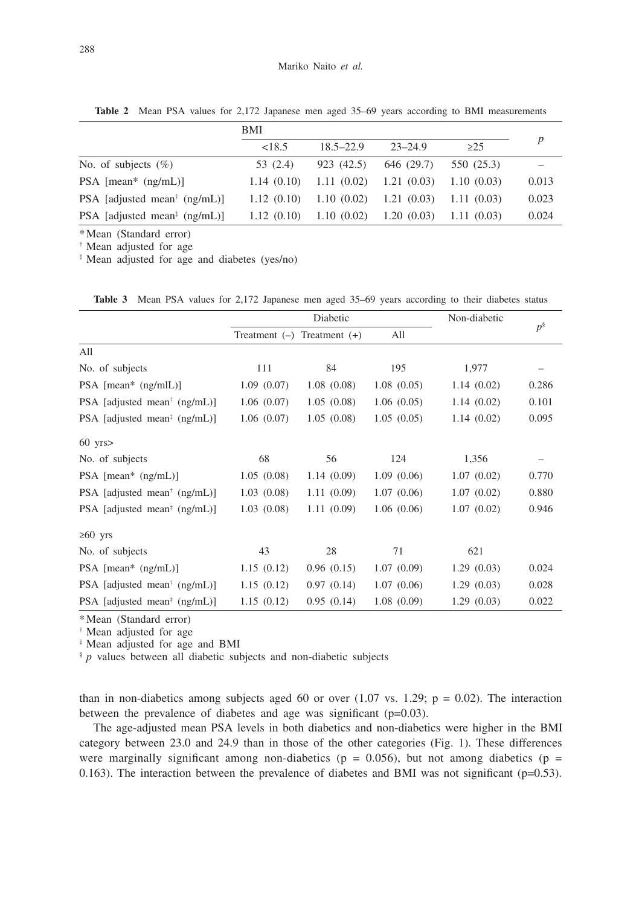|                                                         | BMI        |               |             |            |       |
|---------------------------------------------------------|------------|---------------|-------------|------------|-------|
|                                                         | < 18.5     | $18.5 - 22.9$ | $23 - 24.9$ | $\geq$ 25  | p     |
| No. of subjects $(\%)$                                  | 53 (2.4)   | 923 (42.5)    | 646 (29.7)  | 550 (25.3) |       |
| $PSA$ [mean* $(ng/mL)$ ]                                | 1.14(0.10) | 1.11(0.02)    | 1.21(0.03)  | 1.10(0.03) | 0.013 |
| PSA [adjusted mean <sup>†</sup> $(ng/mL)$ ]             | 1.12(0.10) | 1.10(0.02)    | 1.21(0.03)  | 1.11(0.03) | 0.023 |
| PSA [adjusted mean <sup><math>\pm</math></sup> (ng/mL)] | 1.12(0.10) | 1.10(0.02)    | 1.20(0.03)  | 1.11(0.03) | 0.024 |

**Table 2** Mean PSA values for 2,172 Japanese men aged 35–69 years according to BMI measurements

\*Mean (Standard error)

† Mean adjusted for age

‡ Mean adjusted for age and diabetes (yes/no)

Table 3 Mean PSA values for 2,172 Japanese men aged 35–69 years according to their diabetes status

|                                             | Diabetic        |                 |            | Non-diabetic |          |
|---------------------------------------------|-----------------|-----------------|------------|--------------|----------|
|                                             | Treatment $(-)$ | Treatment $(+)$ | All        |              | $p^{\S}$ |
| All                                         |                 |                 |            |              |          |
| No. of subjects                             | 111             | 84              | 195        | 1,977        |          |
| $PSA$ [mean* $(ng/mlL)$ ]                   | 1.09(0.07)      | 1.08(0.08)      | 1.08(0.05) | 1.14(0.02)   | 0.286    |
| PSA [adjusted mean <sup>†</sup> (ng/mL)]    | 1.06(0.07)      | 1.05(0.08)      | 1.06(0.05) | 1.14(0.02)   | 0.101    |
| PSA [adjusted mean <sup>#</sup> $(ng/mL)$ ] | 1.06(0.07)      | 1.05(0.08)      | 1.05(0.05) | 1.14(0.02)   | 0.095    |
| $60$ yrs $>$                                |                 |                 |            |              |          |
| No. of subjects                             | 68              | 56              | 124        | 1,356        |          |
| PSA $[mean^* (ng/mL)]$                      | 1.05(0.08)      | 1.14(0.09)      | 1.09(0.06) | 1.07(0.02)   | 0.770    |
| PSA [adjusted mean <sup>†</sup> $(ng/mL)$ ] | 1.03(0.08)      | 1.11(0.09)      | 1.07(0.06) | 1.07(0.02)   | 0.880    |
| PSA [adjusted mean <sup>#</sup> $(ng/mL)$ ] | 1.03(0.08)      | 1.11(0.09)      | 1.06(0.06) | 1.07(0.02)   | 0.946    |
| $≥60$ yrs                                   |                 |                 |            |              |          |
| No. of subjects                             | 43              | 28              | 71         | 621          |          |
| PSA $[mean^* (ng/mL)]$                      | 1.15(0.12)      | 0.96(0.15)      | 1.07(0.09) | 1.29(0.03)   | 0.024    |
| PSA [adjusted mean <sup>†</sup> $(ng/mL)$ ] | 1.15(0.12)      | 0.97(0.14)      | 1.07(0.06) | 1.29(0.03)   | 0.028    |
| PSA [adjusted mean <sup>#</sup> $(ng/mL)$ ] | 1.15(0.12)      | 0.95(0.14)      | 1.08(0.09) | 1.29(0.03)   | 0.022    |

\*Mean (Standard error)

† Mean adjusted for age

‡ Mean adjusted for age and BMI

§ *p* values between all diabetic subjects and non-diabetic subjects

than in non-diabetics among subjects aged 60 or over (1.07 vs. 1.29;  $p = 0.02$ ). The interaction between the prevalence of diabetes and age was significant (p=0.03).

The age-adjusted mean PSA levels in both diabetics and non-diabetics were higher in the BMI category between 23.0 and 24.9 than in those of the other categories (Fig. 1). These differences were marginally significant among non-diabetics ( $p = 0.056$ ), but not among diabetics ( $p =$ 0.163). The interaction between the prevalence of diabetes and BMI was not significant ( $p=0.53$ ).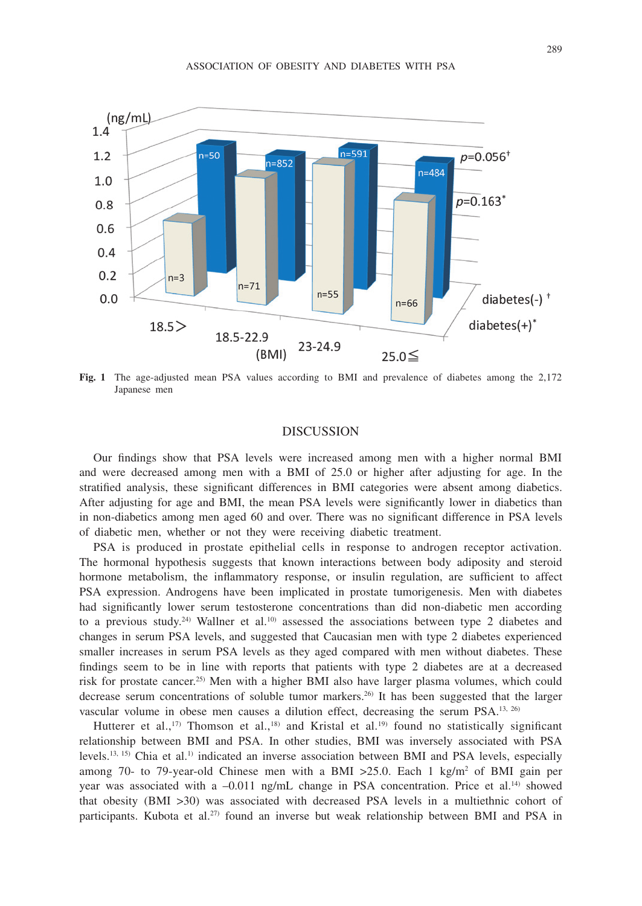

**Fig. 1** The age-adjusted mean PSA values according to BMI and prevalence of diabetes among the 2,172 Japanese men

# DISCUSSION

Our findings show that PSA levels were increased among men with a higher normal BMI and were decreased among men with a BMI of 25.0 or higher after adjusting for age. In the stratified analysis, these significant differences in BMI categories were absent among diabetics. After adjusting for age and BMI, the mean PSA levels were significantly lower in diabetics than in non-diabetics among men aged 60 and over. There was no significant difference in PSA levels of diabetic men, whether or not they were receiving diabetic treatment.

PSA is produced in prostate epithelial cells in response to androgen receptor activation. The hormonal hypothesis suggests that known interactions between body adiposity and steroid hormone metabolism, the inflammatory response, or insulin regulation, are sufficient to affect PSA expression. Androgens have been implicated in prostate tumorigenesis. Men with diabetes had significantly lower serum testosterone concentrations than did non-diabetic men according to a previous study.<sup>24)</sup> Wallner et al.<sup>10)</sup> assessed the associations between type 2 diabetes and changes in serum PSA levels, and suggested that Caucasian men with type 2 diabetes experienced smaller increases in serum PSA levels as they aged compared with men without diabetes. These findings seem to be in line with reports that patients with type 2 diabetes are at a decreased risk for prostate cancer.25) Men with a higher BMI also have larger plasma volumes, which could decrease serum concentrations of soluble tumor markers.<sup>26)</sup> It has been suggested that the larger vascular volume in obese men causes a dilution effect, decreasing the serum PSA.13, 26)

Hutterer et al.,<sup>17)</sup> Thomson et al.,<sup>18)</sup> and Kristal et al.<sup>19)</sup> found no statistically significant relationship between BMI and PSA. In other studies, BMI was inversely associated with PSA levels.<sup>13, 15)</sup> Chia et al.<sup>1)</sup> indicated an inverse association between BMI and PSA levels, especially among 70- to 79-year-old Chinese men with a BMI  $>25.0$ . Each 1 kg/m<sup>2</sup> of BMI gain per year was associated with a  $-0.011$  ng/mL change in PSA concentration. Price et al.<sup>14)</sup> showed that obesity (BMI >30) was associated with decreased PSA levels in a multiethnic cohort of participants. Kubota et al.<sup>27)</sup> found an inverse but weak relationship between BMI and PSA in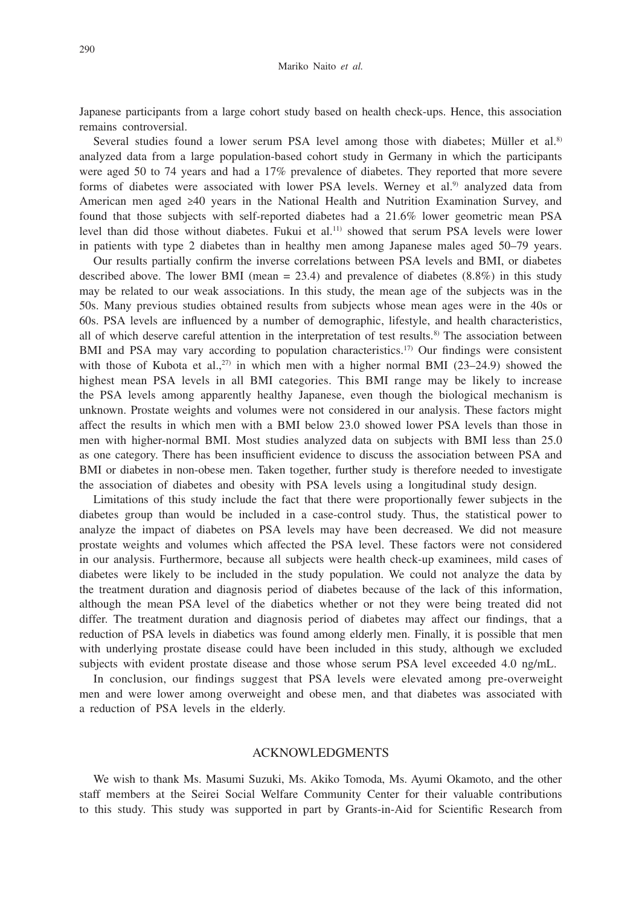Japanese participants from a large cohort study based on health check-ups. Hence, this association remains controversial.

Several studies found a lower serum PSA level among those with diabetes; Müller et al.<sup>8)</sup> analyzed data from a large population-based cohort study in Germany in which the participants were aged 50 to 74 years and had a 17% prevalence of diabetes. They reported that more severe forms of diabetes were associated with lower PSA levels. Werney et al.<sup>9)</sup> analyzed data from American men aged ≥40 years in the National Health and Nutrition Examination Survey, and found that those subjects with self-reported diabetes had a 21.6% lower geometric mean PSA level than did those without diabetes. Fukui et al.11) showed that serum PSA levels were lower in patients with type 2 diabetes than in healthy men among Japanese males aged 50–79 years.

Our results partially confirm the inverse correlations between PSA levels and BMI, or diabetes described above. The lower BMI (mean  $= 23.4$ ) and prevalence of diabetes (8.8%) in this study may be related to our weak associations. In this study, the mean age of the subjects was in the 50s. Many previous studies obtained results from subjects whose mean ages were in the 40s or 60s. PSA levels are influenced by a number of demographic, lifestyle, and health characteristics, all of which deserve careful attention in the interpretation of test results.<sup>8)</sup> The association between BMI and PSA may vary according to population characteristics.<sup>17)</sup> Our findings were consistent with those of Kubota et al.,<sup>27)</sup> in which men with a higher normal BMI (23-24.9) showed the highest mean PSA levels in all BMI categories. This BMI range may be likely to increase the PSA levels among apparently healthy Japanese, even though the biological mechanism is unknown. Prostate weights and volumes were not considered in our analysis. These factors might affect the results in which men with a BMI below 23.0 showed lower PSA levels than those in men with higher-normal BMI. Most studies analyzed data on subjects with BMI less than 25.0 as one category. There has been insufficient evidence to discuss the association between PSA and BMI or diabetes in non-obese men. Taken together, further study is therefore needed to investigate the association of diabetes and obesity with PSA levels using a longitudinal study design.

Limitations of this study include the fact that there were proportionally fewer subjects in the diabetes group than would be included in a case-control study. Thus, the statistical power to analyze the impact of diabetes on PSA levels may have been decreased. We did not measure prostate weights and volumes which affected the PSA level. These factors were not considered in our analysis. Furthermore, because all subjects were health check-up examinees, mild cases of diabetes were likely to be included in the study population. We could not analyze the data by the treatment duration and diagnosis period of diabetes because of the lack of this information, although the mean PSA level of the diabetics whether or not they were being treated did not differ. The treatment duration and diagnosis period of diabetes may affect our findings, that a reduction of PSA levels in diabetics was found among elderly men. Finally, it is possible that men with underlying prostate disease could have been included in this study, although we excluded subjects with evident prostate disease and those whose serum PSA level exceeded 4.0 ng/mL.

In conclusion, our findings suggest that PSA levels were elevated among pre-overweight men and were lower among overweight and obese men, and that diabetes was associated with a reduction of PSA levels in the elderly.

#### ACKNOWLEDGMENTS

We wish to thank Ms. Masumi Suzuki, Ms. Akiko Tomoda, Ms. Ayumi Okamoto, and the other staff members at the Seirei Social Welfare Community Center for their valuable contributions to this study. This study was supported in part by Grants-in-Aid for Scientific Research from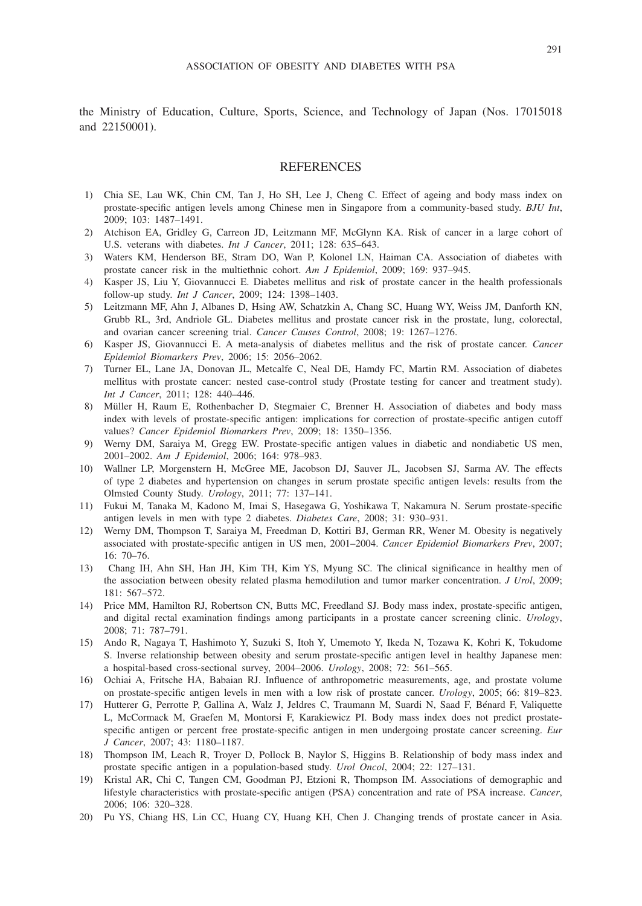the Ministry of Education, Culture, Sports, Science, and Technology of Japan (Nos. 17015018 and 22150001).

#### REFERENCES

- 1) Chia SE, Lau WK, Chin CM, Tan J, Ho SH, Lee J, Cheng C. Effect of ageing and body mass index on prostate-specific antigen levels among Chinese men in Singapore from a community-based study. *BJU Int*, 2009; 103: 1487–1491.
- 2) Atchison EA, Gridley G, Carreon JD, Leitzmann MF, McGlynn KA. Risk of cancer in a large cohort of U.S. veterans with diabetes. *Int J Cancer*, 2011; 128: 635–643.
- 3) Waters KM, Henderson BE, Stram DO, Wan P, Kolonel LN, Haiman CA. Association of diabetes with prostate cancer risk in the multiethnic cohort. *Am J Epidemiol*, 2009; 169: 937–945.
- 4) Kasper JS, Liu Y, Giovannucci E. Diabetes mellitus and risk of prostate cancer in the health professionals follow-up study. *Int J Cancer*, 2009; 124: 1398–1403.
- 5) Leitzmann MF, Ahn J, Albanes D, Hsing AW, Schatzkin A, Chang SC, Huang WY, Weiss JM, Danforth KN, Grubb RL, 3rd, Andriole GL. Diabetes mellitus and prostate cancer risk in the prostate, lung, colorectal, and ovarian cancer screening trial. *Cancer Causes Control*, 2008; 19: 1267–1276.
- 6) Kasper JS, Giovannucci E. A meta-analysis of diabetes mellitus and the risk of prostate cancer. *Cancer Epidemiol Biomarkers Prev*, 2006; 15: 2056–2062.
- 7) Turner EL, Lane JA, Donovan JL, Metcalfe C, Neal DE, Hamdy FC, Martin RM. Association of diabetes mellitus with prostate cancer: nested case-control study (Prostate testing for cancer and treatment study). *Int J Cancer*, 2011; 128: 440–446.
- 8) Müller H, Raum E, Rothenbacher D, Stegmaier C, Brenner H. Association of diabetes and body mass index with levels of prostate-specific antigen: implications for correction of prostate-specific antigen cutoff values? *Cancer Epidemiol Biomarkers Prev*, 2009; 18: 1350–1356.
- 9) Werny DM, Saraiya M, Gregg EW. Prostate-specific antigen values in diabetic and nondiabetic US men, 2001–2002. *Am J Epidemiol*, 2006; 164: 978–983.
- 10) Wallner LP, Morgenstern H, McGree ME, Jacobson DJ, Sauver JL, Jacobsen SJ, Sarma AV. The effects of type 2 diabetes and hypertension on changes in serum prostate specific antigen levels: results from the Olmsted County Study. *Urology*, 2011; 77: 137–141.
- 11) Fukui M, Tanaka M, Kadono M, Imai S, Hasegawa G, Yoshikawa T, Nakamura N. Serum prostate-specific antigen levels in men with type 2 diabetes. *Diabetes Care*, 2008; 31: 930–931.
- 12) Werny DM, Thompson T, Saraiya M, Freedman D, Kottiri BJ, German RR, Wener M. Obesity is negatively associated with prostate-specific antigen in US men, 2001–2004. *Cancer Epidemiol Biomarkers Prev*, 2007; 16: 70–76.
- 13) Chang IH, Ahn SH, Han JH, Kim TH, Kim YS, Myung SC. The clinical significance in healthy men of the association between obesity related plasma hemodilution and tumor marker concentration. *J Urol*, 2009; 181: 567–572.
- 14) Price MM, Hamilton RJ, Robertson CN, Butts MC, Freedland SJ. Body mass index, prostate-specific antigen, and digital rectal examination findings among participants in a prostate cancer screening clinic. *Urology*, 2008; 71: 787–791.
- 15) Ando R, Nagaya T, Hashimoto Y, Suzuki S, Itoh Y, Umemoto Y, Ikeda N, Tozawa K, Kohri K, Tokudome S. Inverse relationship between obesity and serum prostate-specific antigen level in healthy Japanese men: a hospital-based cross-sectional survey, 2004–2006. *Urology*, 2008; 72: 561–565.
- 16) Ochiai A, Fritsche HA, Babaian RJ. Influence of anthropometric measurements, age, and prostate volume on prostate-specific antigen levels in men with a low risk of prostate cancer. *Urology*, 2005; 66: 819–823.
- 17) Hutterer G, Perrotte P, Gallina A, Walz J, Jeldres C, Traumann M, Suardi N, Saad F, Bénard F, Valiquette L, McCormack M, Graefen M, Montorsi F, Karakiewicz PI. Body mass index does not predict prostatespecific antigen or percent free prostate-specific antigen in men undergoing prostate cancer screening. *Eur J Cancer*, 2007; 43: 1180–1187.
- 18) Thompson IM, Leach R, Troyer D, Pollock B, Naylor S, Higgins B. Relationship of body mass index and prostate specific antigen in a population-based study. *Urol Oncol*, 2004; 22: 127–131.
- 19) Kristal AR, Chi C, Tangen CM, Goodman PJ, Etzioni R, Thompson IM. Associations of demographic and lifestyle characteristics with prostate-specific antigen (PSA) concentration and rate of PSA increase. *Cancer*, 2006; 106: 320–328.
- 20) Pu YS, Chiang HS, Lin CC, Huang CY, Huang KH, Chen J. Changing trends of prostate cancer in Asia.